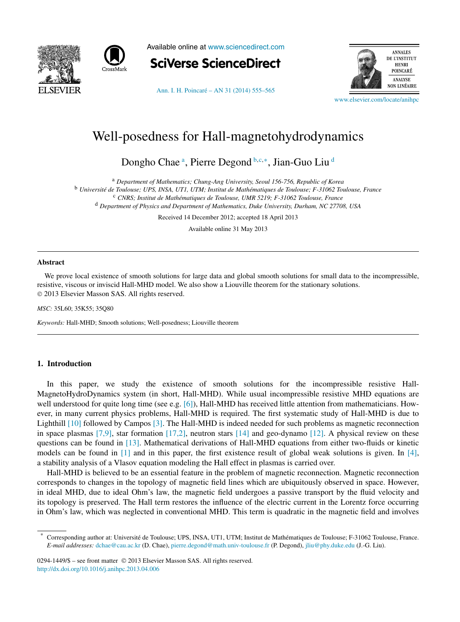



Available online at [www.sciencedirect.com](http://www.sciencedirect.com)



[Ann. I. H. Poincaré – AN 31 \(2014\) 555–565](http://dx.doi.org/10.1016/j.anihpc.2013.04.006)



[www.elsevier.com/locate/anihpc](http://www.elsevier.com/locate/anihpc)

# Well-posedness for Hall-magnetohydrodynamics

Dongho Chae<sup>a</sup>, Pierre Degond b,c,∗, Jian-Guo Liu <sup>d</sup>

<sup>a</sup> *Department of Mathematics; Chung-Ang University, Seoul 156-756, Republic of Korea*

<sup>b</sup> *Université de Toulouse; UPS, INSA, UT1, UTM; Institut de Mathématiques de Toulouse; F-31062 Toulouse, France*

<sup>c</sup> *CNRS; Institut de Mathématiques de Toulouse, UMR 5219; F-31062 Toulouse, France*

<sup>d</sup> *Department of Physics and Department of Mathematics, Duke University, Durham, NC 27708, USA*

Received 14 December 2012; accepted 18 April 2013

Available online 31 May 2013

#### **Abstract**

We prove local existence of smooth solutions for large data and global smooth solutions for small data to the incompressible, resistive, viscous or inviscid Hall-MHD model. We also show a Liouville theorem for the stationary solutions. © 2013 Elsevier Masson SAS. All rights reserved.

*MSC:* 35L60; 35K55; 35Q80

*Keywords:* Hall-MHD; Smooth solutions; Well-posedness; Liouville theorem

## **1. Introduction**

In this paper, we study the existence of smooth solutions for the incompressible resistive Hall-MagnetoHydroDynamics system (in short, Hall-MHD). While usual incompressible resistive MHD equations are well understood for quite long time (see e.g. [\[6\]\)](#page-10-0), Hall-MHD has received little attention from mathematicians. However, in many current physics problems, Hall-MHD is required. The first systematic study of Hall-MHD is due to Lighthill [\[10\]](#page-10-0) followed by Campos [\[3\].](#page-10-0) The Hall-MHD is indeed needed for such problems as magnetic reconnection in space plasmas  $[7,9]$ , star formation  $[17,2]$ , neutron stars  $[14]$  and geo-dynamo  $[12]$ . A physical review on these questions can be found in [\[13\].](#page-10-0) Mathematical derivations of Hall-MHD equations from either two-fluids or kinetic models can be found in [\[1\]](#page-10-0) and in this paper, the first existence result of global weak solutions is given. In [\[4\],](#page-10-0) a stability analysis of a Vlasov equation modeling the Hall effect in plasmas is carried over.

Hall-MHD is believed to be an essential feature in the problem of magnetic reconnection. Magnetic reconnection corresponds to changes in the topology of magnetic field lines which are ubiquitously observed in space. However, in ideal MHD, due to ideal Ohm's law, the magnetic field undergoes a passive transport by the fluid velocity and its topology is preserved. The Hall term restores the influence of the electric current in the Lorentz force occurring in Ohm's law, which was neglected in conventional MHD. This term is quadratic in the magnetic field and involves

<sup>\*</sup> Corresponding author at: Université de Toulouse; UPS, INSA, UT1, UTM; Institut de Mathématiques de Toulouse; F-31062 Toulouse, France. *E-mail addresses:* [dchae@cau.ac.kr](mailto:dchae@cau.ac.kr) (D. Chae), [pierre.degond@math.univ-toulouse.fr](mailto:pierre.degond@math.univ-toulouse.fr) (P. Degond), [jliu@phy.duke.edu](mailto:jliu@phy.duke.edu) (J.-G. Liu).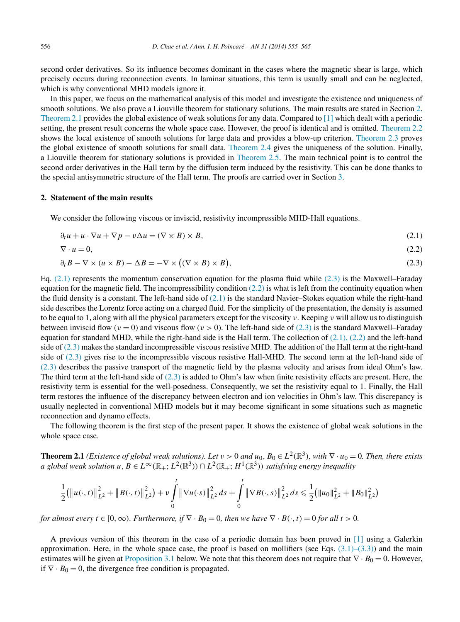<span id="page-1-0"></span>second order derivatives. So its influence becomes dominant in the cases where the magnetic shear is large, which precisely occurs during reconnection events. In laminar situations, this term is usually small and can be neglected, which is why conventional MHD models ignore it.

In this paper, we focus on the mathematical analysis of this model and investigate the existence and uniqueness of smooth solutions. We also prove a Liouville theorem for stationary solutions. The main results are stated in Section 2. Theorem 2.1 provides the global existence of weak solutions for any data. Compared to [\[1\]](#page-10-0) which dealt with a periodic setting, the present result concerns the whole space case. However, the proof is identical and is omitted. [Theorem 2.2](#page-2-0) shows the local existence of smooth solutions for large data and provides a blow-up criterion. [Theorem 2.3](#page-2-0) proves the global existence of smooth solutions for small data. [Theorem 2.4](#page-2-0) gives the uniqueness of the solution. Finally, a Liouville theorem for stationary solutions is provided in [Theorem 2.5.](#page-3-0) The main technical point is to control the second order derivatives in the Hall term by the diffusion term induced by the resistivity. This can be done thanks to the special antisymmetric structure of the Hall term. The proofs are carried over in Section [3.](#page-3-0)

#### **2. Statement of the main results**

We consider the following viscous or inviscid, resistivity incompressible MHD-Hall equations.

$$
\partial_t u + u \cdot \nabla u + \nabla p - v \Delta u = (\nabla \times B) \times B, \tag{2.1}
$$

$$
\nabla \cdot u = 0,\tag{2.2}
$$

$$
\partial_t B - \nabla \times (u \times B) - \Delta B = -\nabla \times ((\nabla \times B) \times B), \tag{2.3}
$$

Eq. (2.1) represents the momentum conservation equation for the plasma fluid while (2.3) is the Maxwell–Faraday equation for the magnetic field. The incompressibility condition  $(2.2)$  is what is left from the continuity equation when the fluid density is a constant. The left-hand side of  $(2.1)$  is the standard Navier–Stokes equation while the right-hand side describes the Lorentz force acting on a charged fluid. For the simplicity of the presentation, the density is assumed to be equal to 1, along with all the physical parameters except for the viscosity *ν*. Keeping *ν* will allow us to distinguish between inviscid flow ( $\nu = 0$ ) and viscous flow ( $\nu > 0$ ). The left-hand side of (2.3) is the standard Maxwell–Faraday equation for standard MHD, while the right-hand side is the Hall term. The collection of  $(2.1)$ ,  $(2.2)$  and the left-hand side of  $(2.3)$  makes the standard incompressible viscous resistive MHD. The addition of the Hall term at the right-hand side of (2.3) gives rise to the incompressible viscous resistive Hall-MHD. The second term at the left-hand side of (2.3) describes the passive transport of the magnetic field by the plasma velocity and arises from ideal Ohm's law. The third term at the left-hand side of  $(2.3)$  is added to Ohm's law when finite resistivity effects are present. Here, the resistivity term is essential for the well-posedness. Consequently, we set the resistivity equal to 1. Finally, the Hall term restores the influence of the discrepancy between electron and ion velocities in Ohm's law. This discrepancy is usually neglected in conventional MHD models but it may become significant in some situations such as magnetic reconnection and dynamo effects.

The following theorem is the first step of the present paper. It shows the existence of global weak solutions in the whole space case.

**Theorem 2.1** *(Existence of global weak solutions). Let*  $v > 0$  *and*  $u_0, B_0 \in L^2(\mathbb{R}^3)$ *, with*  $\nabla \cdot u_0 = 0$ *. Then, there exists a global weak solution u*, *B* ∈ *L*<sup>∞</sup>( $\mathbb{R}_+$ ; *L*<sup>2</sup>( $\mathbb{R}^3$ ))  $\cap$  *L*<sup>2</sup>( $\mathbb{R}_+$ ; *H*<sup>1</sup>( $\mathbb{R}^3$ )) *satisfying energy inequality* 

$$
\frac{1}{2}(\left\|u(\cdot,t)\right\|_{L^2}^2 + \left\|B(\cdot,t)\right\|_{L^2}^2) + \nu \int\limits_0^t \left\|\nabla u(\cdot s)\right\|_{L^2}^2 ds + \int\limits_0^t \left\|\nabla B(\cdot,s)\right\|_{L^2}^2 ds \leq \frac{1}{2}(\left\|u_0\right\|_{L^2}^2 + \left\|B_0\right\|_{L^2}^2)
$$

*for almost every*  $t \in [0, \infty)$ *. Furthermore, if*  $\nabla \cdot B_0 = 0$ *, then we have*  $\nabla \cdot B(\cdot, t) = 0$  *for all*  $t > 0$ *.* 

A previous version of this theorem in the case of a periodic domain has been proved in [\[1\]](#page-10-0) using a Galerkin approximation. Here, in the whole space case, the proof is based on mollifiers (see Eqs.  $(3.1)$ – $(3.3)$ ) and the main estimates will be given at [Proposition 3.1](#page-3-0) below. We note that this theorem does not require that  $∇ · B<sub>0</sub> = 0$ . However, if  $\nabla \cdot B_0 = 0$ , the divergence free condition is propagated.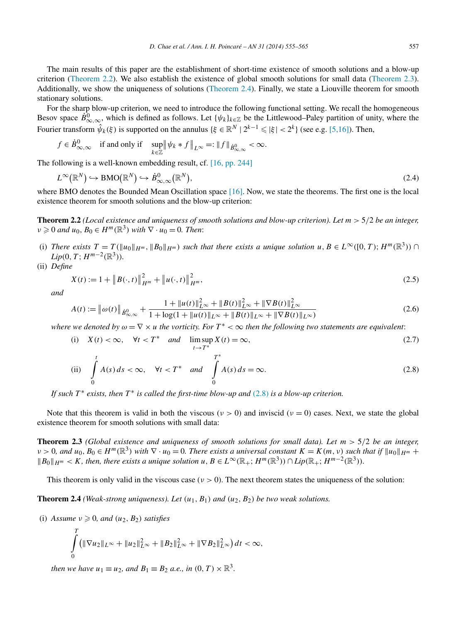<span id="page-2-0"></span>The main results of this paper are the establishment of short-time existence of smooth solutions and a blow-up criterion (Theorem 2.2). We also establish the existence of global smooth solutions for small data (Theorem 2.3). Additionally, we show the uniqueness of solutions (Theorem 2.4). Finally, we state a Liouville theorem for smooth stationary solutions.

For the sharp blow-up criterion, we need to introduce the following functional setting. We recall the homogeneous Besov space  $\dot{B}_{\infty,\infty}^0$ , which is defined as follows. Let  $\{\psi_k\}_{k\in\mathbb{Z}}$  be the Littlewood–Paley partition of unity, where the Fourier transform  $\hat{\psi}_k(\xi)$  is supported on the annulus  $\{\xi \in \mathbb{R}^N \mid 2^{k-1} \leqslant |\xi| < 2^k\}$  (see e.g. [\[5,16\]\)](#page-10-0). Then,

$$
f \in \dot{B}^0_{\infty,\infty} \quad \text{if and only if} \quad \sup_{k \in \mathbb{Z}} \left\| \psi_k * f \right\|_{L^\infty} =: \|f\|_{\dot{B}^0_{\infty,\infty}} < \infty.
$$

The following is a well-known embedding result, cf. [\[16, pp. 244\]](#page-10-0)

$$
L^{\infty}(\mathbb{R}^N) \hookrightarrow \text{BMO}(\mathbb{R}^N) \hookrightarrow \dot{B}^0_{\infty,\infty}(\mathbb{R}^N),
$$
\n(2.4)

where BMO denotes the Bounded Mean Oscillation space  $[16]$ . Now, we state the theorems. The first one is the local existence theorem for smooth solutions and the blow-up criterion:

**Theorem 2.2** *(Local existence and uniqueness of smooth solutions and blow-up criterion). Let m >* 5*/*2 *be an integer,*  $\nu \geq 0$  *and*  $u_0, B_0 \in H^m(\mathbb{R}^3)$  *with*  $\nabla \cdot u_0 = 0$ *. Then:* 

- (i) There exists  $T = T(\|u_0\|_{H^m}, \|B_0\|_{H^m})$  such that there exists a unique solution  $u, B \in L^{\infty}([0, T); H^m(\mathbb{R}^3))$ *Lip*(0*, T*;  $H^{m-2}(\mathbb{R}^3)$ )*.*
- (ii) *Define*

$$
X(t) := 1 + \|B(\cdot, t)\|_{H^m}^2 + \|u(\cdot, t)\|_{H^m}^2,
$$
\n(2.5)

*and*

$$
A(t) := \left\| \omega(t) \right\|_{\dot{B}^0_{\infty,\infty}} + \frac{1 + \|u(t)\|_{L^\infty}^2 + \|B(t)\|_{L^\infty}^2 + \|\nabla B(t)\|_{L^\infty}^2}{1 + \log(1 + \|u(t)\|_{L^\infty} + \|B(t)\|_{L^\infty} + \|\nabla B(t)\|_{L^\infty})}
$$
(2.6)

*where we denoted by*  $\omega = \nabla \times u$  *the vorticity. For*  $T^* < \infty$  *then the following two statements are equivalent:* 

(i) 
$$
X(t) < \infty
$$
,  $\forall t < T^*$  and  $\limsup_{t \to T^*} X(t) = \infty$ , (2.7)

(ii) 
$$
\int_{0}^{t} A(s) ds < \infty, \quad \forall t < T^* \quad and \quad \int_{0}^{T^*} A(s) ds = \infty.
$$
 (2.8)

*If such*  $T^*$  *exists, then*  $T^*$  *is called the first-time blow-up and* (2.8) *is a blow-up criterion.* 

Note that this theorem is valid in both the viscous ( $\nu > 0$ ) and inviscid ( $\nu = 0$ ) cases. Next, we state the global existence theorem for smooth solutions with small data:

**Theorem 2.3** *(Global existence and uniqueness of smooth solutions for small data). Let m >* 5*/*2 *be an integer,*  $\nu > 0$ , and  $u_0, B_0 \in H^m(\mathbb{R}^3)$  with  $\nabla \cdot u_0 = 0$ . There exists a universal constant  $K = K(m, \nu)$  such that if  $||u_0||_{H^m}$  +  $\mathbb{B} \otimes \mathbb{B}$  *B*<sub>0</sub>  $\mathbb{B}$  *H*<sup>*m*</sup>  $\leq$  *K, then, there exists a unique solution*  $u, B \in L^{\infty}(\mathbb{R}_+; H^m(\mathbb{R}^3)) \cap Lip(\mathbb{R}_+; H^{m-2}(\mathbb{R}^3))$ .

This theorem is only valid in the viscous case ( $\nu > 0$ ). The next theorem states the uniqueness of the solution:

**Theorem 2.4** *(Weak-strong uniqueness). Let*  $(u_1, B_1)$  *and*  $(u_2, B_2)$  *be two weak solutions.* 

(i) *Assume*  $\nu \geq 0$ *, and*  $(u_2, B_2)$  *satisfies* 

$$
\int_{0}^{T} \left( \|\nabla u_{2}\|_{L^{\infty}} + \|u_{2}\|_{L^{\infty}}^{2} + \|B_{2}\|_{L^{\infty}}^{2} + \|\nabla B_{2}\|_{L^{\infty}}^{2} \right) dt < \infty,
$$

*then we have*  $u_1 \equiv u_2$ *, and*  $B_1 \equiv B_2$  *a.e., in*  $(0, T) \times \mathbb{R}^3$ *.*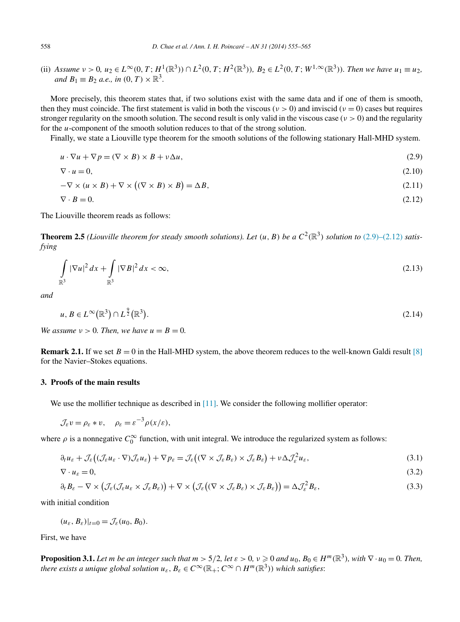<span id="page-3-0"></span>(ii) Assume  $v > 0$ ,  $u_2 \in L^{\infty}(0, T; H^1(\mathbb{R}^3)) \cap L^2(0, T; H^2(\mathbb{R}^3))$ ,  $B_2 \in L^2(0, T; W^{1,\infty}(\mathbb{R}^3))$ . Then we have  $u_1 \equiv u_2$ , *and*  $B_1 \equiv B_2$  *a.e., in*  $(0, T) \times \mathbb{R}^3$ .

More precisely, this theorem states that, if two solutions exist with the same data and if one of them is smooth, then they must coincide. The first statement is valid in both the viscous ( $\nu > 0$ ) and inviscid ( $\nu = 0$ ) cases but requires stronger regularity on the smooth solution. The second result is only valid in the viscous case (*ν >* 0) and the regularity for the *u*-component of the smooth solution reduces to that of the strong solution.

Finally, we state a Liouville type theorem for the smooth solutions of the following stationary Hall-MHD system.

$$
u \cdot \nabla u + \nabla p = (\nabla \times B) \times B + v \Delta u, \tag{2.9}
$$

$$
\nabla \cdot u = 0,\tag{2.10}
$$

$$
-\nabla \times (u \times B) + \nabla \times ((\nabla \times B) \times B) = \Delta B, \tag{2.11}
$$

$$
\nabla \cdot \mathbf{B} = 0. \tag{2.12}
$$

The Liouville theorem reads as follows:

**Theorem 2.5** *(Liouville theorem for steady smooth solutions). Let*  $(u, B)$  *be a*  $C^2(\mathbb{R}^3)$  *solution to* (2.9)–(2.12) *satisfying*

$$
\int_{\mathbb{R}^3} |\nabla u|^2 dx + \int_{\mathbb{R}^3} |\nabla B|^2 dx < \infty,
$$
\n(2.13)

*and*

$$
u, B \in L^{\infty}(\mathbb{R}^3) \cap L^{\frac{9}{2}}(\mathbb{R}^3). \tag{2.14}
$$

*We assume*  $v > 0$ *. Then, we have*  $u = B = 0$ *.* 

**Remark 2.1.** If we set  $B = 0$  in the Hall-MHD system, the above theorem reduces to the well-known Galdi result [\[8\]](#page-10-0) for the Navier–Stokes equations.

### **3. Proofs of the main results**

We use the mollifier technique as described in [\[11\].](#page-10-0) We consider the following mollifier operator:

$$
\mathcal{J}_{\varepsilon}v = \rho_{\varepsilon} * v, \quad \rho_{\varepsilon} = \varepsilon^{-3} \rho(x/\varepsilon),
$$

where  $\rho$  is a nonnegative  $C_0^{\infty}$  function, with unit integral. We introduce the regularized system as follows:

$$
\partial_t u_{\varepsilon} + \mathcal{J}_{\varepsilon} \big( (\mathcal{J}_{\varepsilon} u_{\varepsilon} \cdot \nabla) \mathcal{J}_{\varepsilon} u_{\varepsilon} \big) + \nabla p_{\varepsilon} = \mathcal{J}_{\varepsilon} \big( (\nabla \times \mathcal{J}_{\varepsilon} B_{\varepsilon}) \times \mathcal{J}_{\varepsilon} B_{\varepsilon} \big) + \nu \Delta \mathcal{J}_{\varepsilon}^2 u_{\varepsilon},\tag{3.1}
$$

$$
\nabla \cdot u_{\varepsilon} = 0,\tag{3.2}
$$

$$
\partial_t B_{\varepsilon} - \nabla \times \left( \mathcal{J}_{\varepsilon} (\mathcal{J}_{\varepsilon} u_{\varepsilon} \times \mathcal{J}_{\varepsilon} B_{\varepsilon}) \right) + \nabla \times \left( \mathcal{J}_{\varepsilon} \left( (\nabla \times \mathcal{J}_{\varepsilon} B_{\varepsilon}) \times \mathcal{J}_{\varepsilon} B_{\varepsilon} \right) \right) = \Delta \mathcal{J}_{\varepsilon}^2 B_{\varepsilon}, \tag{3.3}
$$

with initial condition

$$
(u_{\varepsilon}, B_{\varepsilon})|_{t=0} = \mathcal{J}_{\varepsilon}(u_0, B_0).
$$

First, we have

**Proposition 3.1.** Let m be an integer such that  $m > 5/2$ , let  $\varepsilon > 0$ ,  $v \ge 0$  and  $u_0, B_0 \in H^m(\mathbb{R}^3)$ , with  $\nabla \cdot u_0 = 0$ . Then, *there exists a unique global solution*  $u_{\varepsilon}, B_{\varepsilon} \in C^{\infty}(\mathbb{R}_{+}; C^{\infty} \cap H^{m}(\mathbb{R}^{3}))$  which satisfies: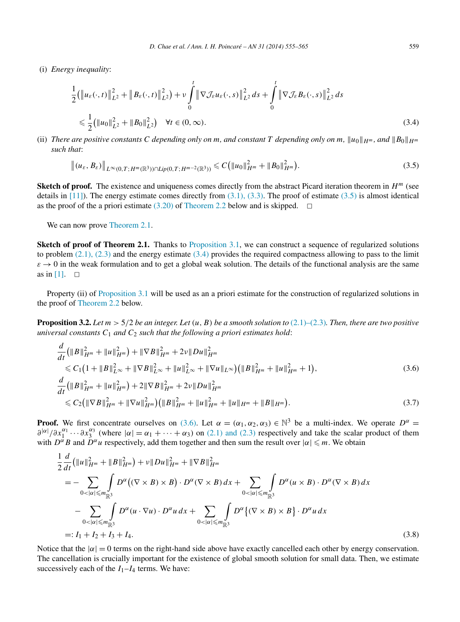<span id="page-4-0"></span>(i) *Energy inequality*:

$$
\frac{1}{2}(\|u_{\varepsilon}(\cdot,t)\|_{L^{2}}^{2} + \|B_{\varepsilon}(\cdot,t)\|_{L^{2}}^{2}) + \nu \int_{0}^{t} \|\nabla \mathcal{J}_{\varepsilon} u_{\varepsilon}(\cdot,s)\|_{L^{2}}^{2} ds + \int_{0}^{t} \|\nabla \mathcal{J}_{\varepsilon} B_{\varepsilon}(\cdot,s)\|_{L^{2}}^{2} ds
$$
\n
$$
\leq \frac{1}{2}(\|u_{0}\|_{L^{2}}^{2} + \|B_{0}\|_{L^{2}}^{2}) \quad \forall t \in (0,\infty).
$$
\n(3.4)

(ii) *There are positive constants C* depending only on *m*, and constant *T* depending only on *m*,  $||u_0||_{H^m}$ , and  $||B_0||_{H^m}$ *such that*:

$$
\|(u_{\varepsilon},B_{\varepsilon})\|_{L^{\infty}(0,T;H^{m}(\mathbb{R}^{3}))\cap Lip(0,T;H^{m-2}(\mathbb{R}^{3}))}\leqslant C\big(\|u_{0}\|_{H^{m}}^{2}+\|B_{0}\|_{H^{m}}^{2}\big).
$$
\n(3.5)

**Sketch of proof.** The existence and uniqueness comes directly from the abstract Picard iteration theorem in  $H^m$  (see details in  $[11]$ ). The energy estimate comes directly from  $(3.1)$ ,  $(3.3)$ . The proof of estimate  $(3.5)$  is almost identical as the proof of the a priori estimate [\(3.20\)](#page-7-0) of [Theorem 2.2](#page-2-0) below and is skipped.  $\Box$ 

We can now prove [Theorem](#page-1-0) 2.1.

**Sketch of proof of Theorem 2.1.** Thanks to [Proposition 3.1,](#page-3-0) we can construct a sequence of regularized solutions to problem  $(2.1)$ ,  $(2.3)$  and the energy estimate  $(3.4)$  provides the required compactness allowing to pass to the limit  $\varepsilon \to 0$  in the weak formulation and to get a global weak solution. The details of the functional analysis are the same as in [\[1\].](#page-10-0)  $\Box$ 

Property (ii) of [Proposition](#page-3-0) 3.1 will be used as an a priori estimate for the construction of regularized solutions in the proof of [Theorem 2.2](#page-2-0) below.

**Proposition 3.2.** Let  $m > 5/2$  be an integer. Let  $(u, B)$  be a smooth solution to  $(2.1)$ – $(2.3)$ *. Then, there are two positive universal constants*  $C_1$  *and*  $C_2$  *such that the following a priori estimates hold:* 

$$
\frac{d}{dt}(\|B\|_{H^m}^2 + \|u\|_{H^m}^2) + \|\nabla B\|_{H^m}^2 + 2\nu\|Du\|_{H^m}^2
$$
\n
$$
\leq C_1\left(1 + \|B\|_{L^\infty}^2 + \|\nabla B\|_{L^\infty}^2 + \|u\|_{L^\infty}^2 + \|\nabla u\|_{L^\infty}\right) \left(\|B\|_{H^m}^2 + \|u\|_{H^m}^2 + 1\right),
$$
\n(3.6)\n
$$
\frac{d}{dt}\left(\|B\|_{H^m}^2 + \|u\|_{H^m}^2\right) + 2\|\nabla B\|_{H^m}^2 + 2\nu\|Du\|_{H^m}^2
$$
\n
$$
\leq C_2\left(\|\nabla B\|_{H^m}^2 + \|\nabla u\|_{H^m}^2\right) \left(\|B\|_{H^m}^2 + \|u\|_{H^m}^2 + \|u\|_{H^m} + \|B\|_{H^m}\right). \tag{3.7}
$$

**Proof.** We first concentrate ourselves on (3.6). Let  $\alpha = (\alpha_1, \alpha_2, \alpha_3) \in \mathbb{N}^3$  be a multi-index. We operate  $D^{\alpha} =$  $\frac{\partial^{|\alpha|}}{\partial x_1^{\alpha_1}} \cdots \frac{\partial x_3^{\alpha_3}}{\partial x_n^{\alpha_1}}$  (where  $|\alpha| = \alpha_1 + \cdots + \alpha_3$ ) on [\(2.1\) and \(2.3\)](#page-1-0) respectively and take the scalar product of them with  $D^{\alpha}B$  and  $D^{\alpha}u$  respectively, add them together and then sum the result over  $|\alpha| \leq m$ . We obtain

$$
\frac{1}{2}\frac{d}{dt}\left(\|u\|_{H^m}^2 + \|B\|_{H^m}^2\right) + \nu\|Du\|_{H^m}^2 + \|\nabla B\|_{H^m}^2
$$
\n
$$
= -\sum_{0 < |\alpha| \le m_{\mathbb{R}^3}} \int_{\mathbb{R}^3} D^{\alpha}\left((\nabla \times B) \times B\right) \cdot D^{\alpha}(\nabla \times B) dx + \sum_{0 < |\alpha| \le m_{\mathbb{R}^3}} \int_{\mathbb{R}^3} D^{\alpha}(u \times B) \cdot D^{\alpha}(\nabla \times B) dx
$$
\n
$$
- \sum_{0 < |\alpha| \le m_{\mathbb{R}^3}} \int_{\mathbb{R}^3} D^{\alpha}(u \cdot \nabla u) \cdot D^{\alpha} u dx + \sum_{0 < |\alpha| \le m_{\mathbb{R}^3}} \int_{\mathbb{R}^3} D^{\alpha}\left\{(\nabla \times B) \times B\right\} \cdot D^{\alpha} u dx
$$
\n
$$
=: I_1 + I_2 + I_3 + I_4. \tag{3.8}
$$

Notice that the  $|α| = 0$  terms on the right-hand side above have exactly cancelled each other by energy conservation. The cancellation is crucially important for the existence of global smooth solution for small data. Then, we estimate successively each of the  $I_1-I_4$  terms. We have: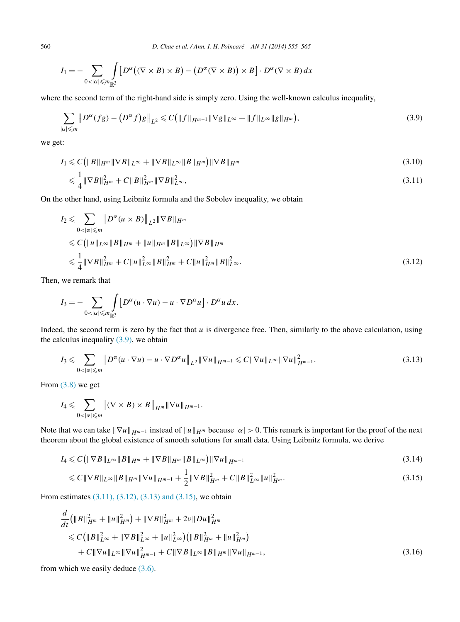<span id="page-5-0"></span>560 *D. Chae et al. / Ann. I. H. Poincaré – AN 31 (2014) 555–565*

$$
I_1 = -\sum_{0 < |\alpha| \le m_{\mathbb{R}^3}} \int_{\mathbb{S}^3} \left[ D^{\alpha} \big( (\nabla \times B) \times B \big) - \big( D^{\alpha} (\nabla \times B) \big) \times B \right] \cdot D^{\alpha} (\nabla \times B) \, dx
$$

where the second term of the right-hand side is simply zero. Using the well-known calculus inequality,

$$
\sum_{|\alpha| \leqslant m} \| D^{\alpha}(fg) - (D^{\alpha}f)g \|_{L^2} \leqslant C \big( \| f \|_{H^{m-1}} \| \nabla g \|_{L^{\infty}} + \| f \|_{L^{\infty}} \| g \|_{H^m} \big), \tag{3.9}
$$

we get:

$$
I_1 \leqslant C \left( \|B\|_{H^m} \|\nabla B\|_{L^\infty} + \|\nabla B\|_{L^\infty} \|B\|_{H^m} \right) \|\nabla B\|_{H^m} \tag{3.10}
$$

$$
\leqslant \frac{1}{4} \|\nabla B\|_{H^m}^2 + C \|B\|_{H^m}^2 \|\nabla B\|_{L^\infty}^2,
$$
\n(3.11)

On the other hand, using Leibnitz formula and the Sobolev inequality, we obtain

$$
I_2 \leqslant \sum_{0 < |\alpha| \leqslant m} \| D^{\alpha} (u \times B) \|_{L^2} \| \nabla B \|_{H^m}
$$
\n
$$
\leqslant C \left( \| u \|_{L^{\infty}} \| B \|_{H^m} + \| u \|_{H^m} \| B \|_{L^{\infty}} \right) \| \nabla B \|_{H^m}
$$
\n
$$
\leqslant \frac{1}{4} \| \nabla B \|_{H^m}^2 + C \| u \|_{L^{\infty}}^2 \| B \|_{H^m}^2 + C \| u \|_{H^m}^2 \| B \|_{L^{\infty}}^2. \tag{3.12}
$$

Then, we remark that

$$
I_3 = -\sum_{0<|\alpha|\leq m_{\mathbb{R}^3}} \int_{\mathbb{R}^3} \left[ D^{\alpha} (u \cdot \nabla u) - u \cdot \nabla D^{\alpha} u \right] \cdot D^{\alpha} u \, dx.
$$

Indeed, the second term is zero by the fact that *u* is divergence free. Then, similarly to the above calculation, using the calculus inequality  $(3.9)$ , we obtain

$$
I_3 \leqslant \sum_{0 < |\alpha| \leqslant m} \left\| D^{\alpha} (u \cdot \nabla u) - u \cdot \nabla D^{\alpha} u \right\|_{L^2} \left\| \nabla u \right\|_{H^{m-1}} \leqslant C \left\| \nabla u \right\|_{L^{\infty}} \left\| \nabla u \right\|_{H^{m-1}}^2. \tag{3.13}
$$

From  $(3.8)$  we get

$$
I_4 \leqslant \sum_{0<|\alpha|\leqslant m} \left\|(\nabla \times B) \times B\right\|_{H^m} \|\nabla u\|_{H^{m-1}}.
$$

Note that we can take  $\|\nabla u\|_{H^{m-1}}$  instead of  $\|u\|_{H^m}$  because  $|\alpha| > 0$ . This remark is important for the proof of the next theorem about the global existence of smooth solutions for small data. Using Leibnitz formula, we derive

$$
I_4 \leqslant C \left( \|\nabla B\|_{L^\infty} \|B\|_{H^m} + \|\nabla B\|_{H^m} \|B\|_{L^\infty} \right) \|\nabla u\|_{H^{m-1}} \tag{3.14}
$$

$$
\leq C \|\nabla B\|_{L^{\infty}} \|B\|_{H^m} \|\nabla u\|_{H^{m-1}} + \frac{1}{2} \|\nabla B\|_{H^m}^2 + C \|B\|_{L^{\infty}}^2 \|u\|_{H^m}^2. \tag{3.15}
$$

From estimates (3.11), (3.12), (3.13) and (3.15), we obtain

$$
\frac{d}{dt}(\|B\|_{H^m}^2 + \|u\|_{H^m}^2) + \|\nabla B\|_{H^m}^2 + 2\nu\|Du\|_{H^m}^2 \n\leq C\big(\|B\|_{L^\infty}^2 + \|\nabla B\|_{L^\infty}^2 + \|u\|_{L^\infty}^2\big)\big(\|B\|_{H^m}^2 + \|u\|_{H^m}^2\big) \n+ C\|\nabla u\|_{L^\infty}\|\nabla u\|_{H^{m-1}}^2 + C\|\nabla B\|_{L^\infty}\|B\|_{H^m}\|\nabla u\|_{H^{m-1}},
$$
\n(3.16)

from which we easily deduce [\(3.6\).](#page-4-0)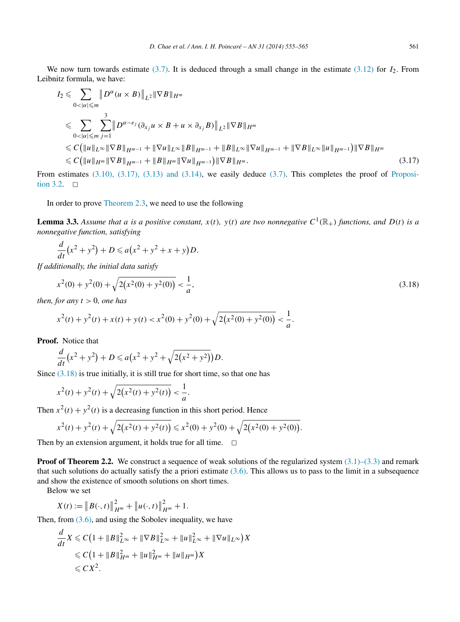<span id="page-6-0"></span>We now turn towards estimate [\(3.7\).](#page-4-0) It is deduced through a small change in the estimate [\(3.12\)](#page-5-0) for *I*2. From Leibnitz formula, we have:

$$
I_{2} \leqslant \sum_{0<|\alpha|\leqslant m} \|D^{\alpha}(u\times B)\|_{L^{2}} \|\nabla B\|_{H^{m}}
$$
  
\n
$$
\leqslant \sum_{0<|\alpha|\leqslant m} \sum_{j=1}^{3} \|D^{\alpha-e_{j}}(\partial_{x_{j}}u\times B+u\times \partial_{x_{j}}B)\|_{L^{2}} \|\nabla B\|_{H^{m}}
$$
  
\n
$$
\leqslant C (\|u\|_{L^{\infty}} \|\nabla B\|_{H^{m-1}} + \|\nabla u\|_{L^{\infty}} \|B\|_{H^{m-1}} + \|B\|_{L^{\infty}} \|\nabla u\|_{H^{m-1}} + \|\nabla B\|_{L^{\infty}} \|u\|_{H^{m-1}}) \|\nabla B\|_{H^{m}}
$$
  
\n
$$
\leqslant C (\|u\|_{H^{m}} \|\nabla B\|_{H^{m-1}} + \|B\|_{H^{m}} \|\nabla u\|_{H^{m-1}}) \|\nabla B\|_{H^{m}}.
$$
\n(3.17)

From estimates [\(3.10\), \(3.17\), \(3.13\) and \(3.14\),](#page-5-0) we easily deduce [\(3.7\).](#page-4-0) This completes the proof of [Proposi](#page-4-0)[tion 3.2.](#page-4-0)  $\Box$ 

In order to prove [Theorem](#page-2-0) 2.3, we need to use the following

**Lemma 3.3.** Assume that a is a positive constant,  $x(t)$ ,  $y(t)$  are two nonnegative  $C^1(\mathbb{R}_+)$  functions, and  $D(t)$  is a *nonnegative function, satisfying*

$$
\frac{d}{dt}(x^2 + y^2) + D \leq a(x^2 + y^2 + x + y)D.
$$

*If additionally, the initial data satisfy*

$$
x^{2}(0) + y^{2}(0) + \sqrt{2(x^{2}(0) + y^{2}(0))} < \frac{1}{a},
$$
\n(3.18)

*then, for any*  $t > 0$ *, one has* 

$$
x^{2}(t) + y^{2}(t) + x(t) + y(t) < x^{2}(0) + y^{2}(0) + \sqrt{2(x^{2}(0) + y^{2}(0))} < \frac{1}{a}.
$$

**Proof.** Notice that

$$
\frac{d}{dt}(x^2 + y^2) + D \leq a(x^2 + y^2 + \sqrt{2(x^2 + y^2)})D.
$$

Since  $(3.18)$  is true initially, it is still true for short time, so that one has

$$
x^{2}(t) + y^{2}(t) + \sqrt{2(x^{2}(t) + y^{2}(t))} < \frac{1}{a}.
$$

Then  $x^2(t) + y^2(t)$  is a decreasing function in this short period. Hence

$$
x^{2}(t) + y^{2}(t) + \sqrt{2(x^{2}(t) + y^{2}(t))} \le x^{2}(0) + y^{2}(0) + \sqrt{2(x^{2}(0) + y^{2}(0))}.
$$

Then by an extension argument, it holds true for all time.  $\Box$ 

**Proof of Theorem 2.2.** We construct a sequence of weak solutions of the regularized system [\(3.1\)–\(3.3\)](#page-3-0) and remark that such solutions do actually satisfy the a priori estimate  $(3.6)$ . This allows us to pass to the limit in a subsequence and show the existence of smooth solutions on short times.

Below we set

$$
X(t) := \| B(\cdot,t) \|_{H^m}^2 + \| u(\cdot,t) \|_{H^m}^2 + 1.
$$

Then, from [\(3.6\),](#page-4-0) and using the Sobolev inequality, we have

$$
\frac{d}{dt}X \leq C\left(1 + \|B\|_{L^{\infty}}^2 + \|\nabla B\|_{L^{\infty}}^2 + \|u\|_{L^{\infty}}^2 + \|\nabla u\|_{L^{\infty}}\right)X
$$
  
\n
$$
\leq C\left(1 + \|B\|_{H^m}^2 + \|u\|_{H^m}^2 + \|u\|_{H^m}\right)X
$$
  
\n
$$
\leq C X^2.
$$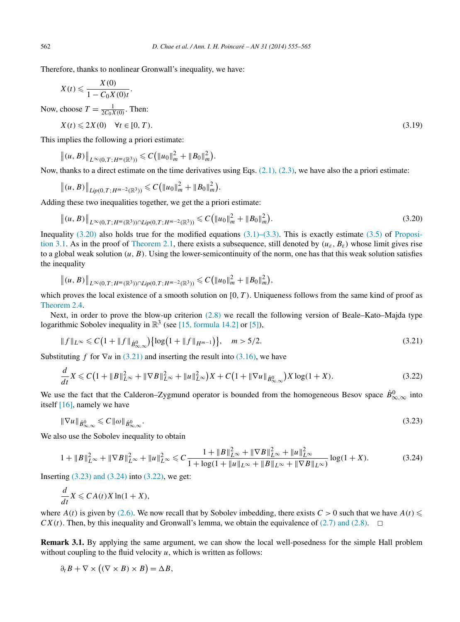Therefore, thanks to nonlinear Gronwall's inequality, we have:

$$
X(t) \leqslant \frac{X(0)}{1 - C_0 X(0)t}.
$$

Now, choose  $T = \frac{1}{2C_0X(0)}$ . Then:

 $X(t) \le 2X(0) \quad \forall t \in [0, T).$  (3.19)

This implies the following a priori estimate:

$$
||(u, B)||_{L^{\infty}(0,T; H^m(\mathbb{R}^3))} \leqslant C (||u_0||_m^2 + ||B_0||_m^2).
$$

Now, thanks to a direct estimate on the time derivatives using Eqs.  $(2.1)$ ,  $(2.3)$ , we have also the a priori estimate:

$$
||(u, B)||_{Lip(0,T;H^{m-2}(\mathbb{R}^3))} \leqslant C (||u_0||_m^2 + ||B_0||_m^2).
$$

Adding these two inequalities together, we get the a priori estimate:

$$
\|(u,B)\|_{L^{\infty}(0,T;H^m(\mathbb{R}^3))\cap Lip(0,T;H^{m-2}(\mathbb{R}^3))} \leqslant C\big(\|u_0\|_m^2 + \|B_0\|_m^2\big). \tag{3.20}
$$

Inequality  $(3.20)$  also holds true for the modified equations  $(3.1)$ – $(3.3)$ . This is exactly estimate  $(3.5)$  of [Proposi](#page-3-0)[tion 3.1.](#page-3-0) As in the proof of [Theorem 2.1,](#page-1-0) there exists a subsequence, still denoted by  $(u_{\varepsilon}, B_{\varepsilon})$  whose limit gives rise to a global weak solution  $(u, B)$ . Using the lower-semicontinuity of the norm, one has that this weak solution satisfies the inequality

$$
||(u, B)||_{L^{\infty}(0,T; H^m(\mathbb{R}^3))\cap Lip(0,T; H^{m-2}(\mathbb{R}^3))} \leq C (||u_0||_m^2 + ||B_0||_m^2),
$$

which proves the local existence of a smooth solution on [0*,T)*. Uniqueness follows from the same kind of proof as [Theorem 2.4.](#page-2-0)

Next, in order to prove the blow-up criterion [\(2.8\)](#page-2-0) we recall the following version of Beale–Kato–Majda type logarithmic Sobolev inequality in  $\mathbb{R}^3$  (see [\[15, formula 14.2\]](#page-10-0) or [\[5\]\)](#page-10-0),

$$
||f||_{L^{\infty}} \leq C\left(1 + ||f||_{\dot{B}^0_{\infty,\infty}}\right) \{ \log\left(1 + ||f||_{H^{m-1}}\right) \}, \quad m > 5/2. \tag{3.21}
$$

Substituting *f* for  $\nabla u$  in (3.21) and inserting the result into [\(3.16\),](#page-5-0) we have

$$
\frac{d}{dt}X \leq C\left(1 + \|B\|_{L^{\infty}}^2 + \|\nabla B\|_{L^{\infty}}^2 + \|u\|_{L^{\infty}}^2\right)X + C\left(1 + \|\nabla u\|_{\dot{B}^0_{\infty,\infty}}\right)X\log(1+X). \tag{3.22}
$$

We use the fact that the Calderon–Zygmund operator is bounded from the homogeneous Besov space  $\dot{B}^0_{\infty,\infty}$  into itself [\[16\],](#page-10-0) namely we have

$$
\|\nabla u\|_{\dot{B}^0_{\infty,\infty}} \leqslant C\|\omega\|_{\dot{B}^0_{\infty,\infty}}.\tag{3.23}
$$

We also use the Sobolev inequality to obtain

$$
1 + \|B\|_{L^{\infty}}^2 + \|\nabla B\|_{L^{\infty}}^2 + \|u\|_{L^{\infty}}^2 \le C \frac{1 + \|B\|_{L^{\infty}}^2 + \|\nabla B\|_{L^{\infty}}^2 + \|u\|_{L^{\infty}}^2}{1 + \log(1 + \|u\|_{L^{\infty}} + \|B\|_{L^{\infty}} + \|\nabla B\|_{L^{\infty}})} \log(1 + X). \tag{3.24}
$$

Inserting  $(3.23)$  and  $(3.24)$  into  $(3.22)$ , we get:

$$
\frac{d}{dt}X \leqslant CA(t)X\ln(1+X),
$$

where  $A(t)$  is given by [\(2.6\).](#page-2-0) We now recall that by Sobolev imbedding, there exists  $C > 0$  such that we have  $A(t) \leq$  $CX(t)$ . Then, by this inequality and Gronwall's lemma, we obtain the equivalence of [\(2.7\) and \(2.8\).](#page-2-0)  $\Box$ 

**Remark 3.1.** By applying the same argument, we can show the local well-posedness for the simple Hall problem without coupling to the fluid velocity *u*, which is written as follows:

$$
\partial_t B + \nabla \times ((\nabla \times B) \times B) = \Delta B,
$$

<span id="page-7-0"></span>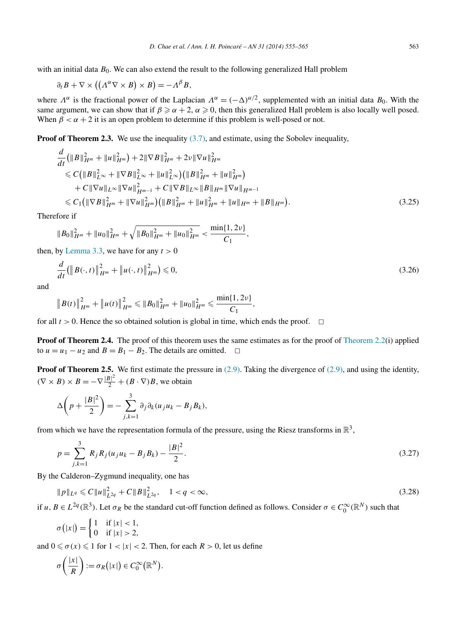<span id="page-8-0"></span>
$$
\partial_t B + \nabla \times ((\Lambda^{\alpha} \nabla \times B) \times B) = -\Lambda^{\beta} B,
$$

where  $\Lambda^{\alpha}$  is the fractional power of the Laplacian  $\Lambda^{\alpha} = (-\Delta)^{\alpha/2}$ , supplemented with an initial data  $B_0$ . With the same argument, we can show that if  $\beta \ge \alpha + 2$ ,  $\alpha \ge 0$ , then this generalized Hall problem is also locally well posed. When  $\beta < \alpha + 2$  it is an open problem to determine if this problem is well-posed or not.

**Proof of Theorem 2.3.** We use the inequality [\(3.7\),](#page-4-0) and estimate, using the Sobolev inequality,

$$
\frac{d}{dt}(\|B\|_{H^m}^2 + \|u\|_{H^m}^2) + 2\|\nabla B\|_{H^m}^2 + 2\nu\|\nabla u\|_{H^m}^2 \n\leq C\|B\|_{L^\infty}^2 + \|\nabla B\|_{L^\infty}^2 + \|u\|_{L^\infty}^2)(\|B\|_{H^m}^2 + \|u\|_{H^m}^2) \n+ C\|\nabla u\|_{L^\infty}\|\nabla u\|_{H^{m-1}}^2 + C\|\nabla B\|_{L^\infty} \|B\|_{H^m} \|\nabla u\|_{H^{m-1}} \n\leq C_1 (\|\nabla B\|_{H^m}^2 + \|\nabla u\|_{H^m}^2)(\|B\|_{H^m}^2 + \|u\|_{H^m}^2 + \|u\|_{H^m} + \|B\|_{H^m}).
$$
\n(3.25)

Therefore if

 $||B_0||^2_{H^m} + ||u_0||^2_{H^m} + \sqrt{||B_0||^2_{H^m} + ||u_0||^2_{H^m}} < \frac{\min\{1, 2\nu\}}{C}$  $\frac{C_1}{C_1}$ ,

then, by [Lemma 3.3,](#page-6-0) we have for any  $t > 0$ 

$$
\frac{d}{dt}(\|B(\cdot,t)\|_{H^m}^2 + \|u(\cdot,t)\|_{H^m}^2) \leq 0,
$$
\n(3.26)

and

$$
\|B(t)\|_{H^m}^2 + \|u(t)\|_{H^m}^2 \leq \|B_0\|_{H^m}^2 + \|u_0\|_{H^m}^2 \leq \frac{\min\{1, 2\nu\}}{C_1},
$$

for all  $t > 0$ . Hence the so obtained solution is global in time, which ends the proof.  $\Box$ 

**Proof of Theorem 2.4.** The proof of this theorem uses the same estimates as for the proof of [Theorem 2.2\(](#page-2-0)i) applied to  $u = u_1 - u_2$  and  $B = B_1 - B_2$ . The details are omitted.

**Proof of Theorem 2.5.** We first estimate the pressure in [\(2.9\).](#page-3-0) Taking the divergence of [\(2.9\),](#page-3-0) and using the identity,  $(\nabla \times B) \times B = -\nabla \frac{|B|^2}{2} + (B \cdot \nabla)B$ , we obtain

$$
\Delta\bigg(p+\frac{|B|^2}{2}\bigg)=-\sum_{j,k=1}^3\partial_j\partial_k(u_ju_k-B_jB_k),
$$

from which we have the representation formula of the pressure, using the Riesz transforms in  $\mathbb{R}^3$ .

$$
p = \sum_{j,k=1}^{3} R_j R_j (u_j u_k - B_j B_k) - \frac{|B|^2}{2}.
$$
\n(3.27)

By the Calderon–Zygmund inequality, one has

$$
||p||_{L^{q}} \leq C||u||_{L^{2q}}^{2} + C||B||_{L^{2q}}^{2}, \quad 1 < q < \infty,
$$
\n(3.28)

if *u*,  $B \in L^{2q}(\mathbb{R}^3)$ . Let  $\sigma_R$  be the standard cut-off function defined as follows. Consider  $\sigma \in C_0^{\infty}(\mathbb{R}^N)$  such that

$$
\sigma(|x|) = \begin{cases} 1 & \text{if } |x| < 1, \\ 0 & \text{if } |x| > 2, \end{cases}
$$

and  $0 \le \sigma(x) \le 1$  for  $1 < |x| < 2$ . Then, for each  $R > 0$ , let us define

$$
\sigma\left(\frac{|x|}{R}\right) := \sigma_R(|x|) \in C_0^{\infty}(\mathbb{R}^N).
$$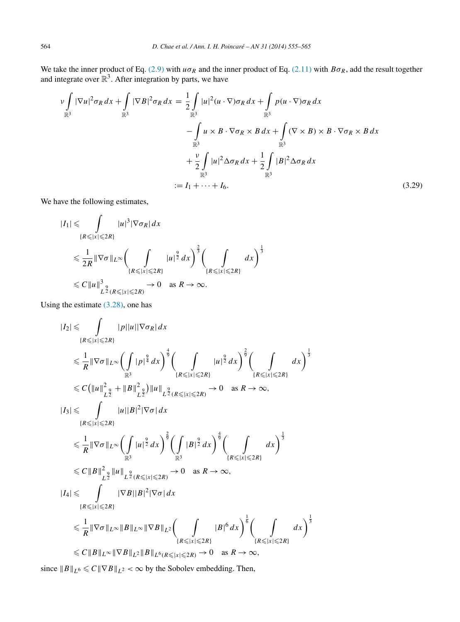<span id="page-9-0"></span>We take the inner product of Eq. [\(2.9\)](#page-3-0) with  $u\sigma_R$  and the inner product of Eq. [\(2.11\)](#page-3-0) with  $B\sigma_R$ , add the result together and integrate over  $\mathbb{R}^3$ . After integration by parts, we have

$$
\nu \int_{\mathbb{R}^3} |\nabla u|^2 \sigma_R dx + \int_{\mathbb{R}^3} |\nabla B|^2 \sigma_R dx = \frac{1}{2} \int_{\mathbb{R}^3} |u|^2 (u \cdot \nabla) \sigma_R dx + \int_{\mathbb{R}^3} p(u \cdot \nabla) \sigma_R dx
$$

$$
- \int_{\mathbb{R}^3} u \times B \cdot \nabla \sigma_R \times B dx + \int_{\mathbb{R}^3} (\nabla \times B) \times B \cdot \nabla \sigma_R \times B dx
$$

$$
+ \frac{\nu}{2} \int_{\mathbb{R}^3} |u|^2 \Delta \sigma_R dx + \frac{1}{2} \int_{\mathbb{R}^3} |B|^2 \Delta \sigma_R dx
$$

$$
:= I_1 + \dots + I_6.
$$
(3.29)

We have the following estimates,

$$
|I_1| \leq \int_{\{R \leq |x| \leq 2R\}} |u|^3 |\nabla \sigma_R| dx
$$
  
\n
$$
\leq \frac{1}{2R} \|\nabla \sigma\|_{L^\infty} \bigg( \int_{\{R \leq |x| \leq 2R\}} |u|^{\frac{9}{2}} dx \bigg)^{\frac{2}{3}} \bigg( \int_{\{R \leq |x| \leq 2R\}} dx \bigg)^{\frac{1}{3}}
$$
  
\n
$$
\leq C \|u\|_{L^{\frac{9}{2}}(R \leq |x| \leq 2R)}^3 \to 0 \text{ as } R \to \infty.
$$

Using the estimate [\(3.28\),](#page-8-0) one has

$$
|I_{2}| \leq \int_{\{R \leq |x| \leq 2R\}} |p||u|| \nabla \sigma_{R}| dx
$$
  
\n
$$
\leq \frac{1}{R} \|\nabla \sigma\|_{L^{\infty}} \left( \int_{\mathbb{R}^{3}} |p|^{2} dx \right)^{\frac{4}{9}} \left( \int_{\{R \leq |x| \leq 2R\}} |u|^{2} dx \right)^{\frac{2}{9}} \left( \int_{\{R \leq |x| \leq 2R\}} dx \right)^{\frac{1}{3}}
$$
  
\n
$$
\leq C \left( \|u\|_{L^{2}}^{2} + \|B\|_{L^{2}}^{2} \right) \|u\|_{L^{2}(R \leq |x| \leq 2R)} \to 0 \text{ as } R \to \infty,
$$
  
\n
$$
|I_{3}| \leq \int_{\{R \leq |x| \leq 2R\}} |u||B|^{2} |\nabla \sigma| dx
$$
  
\n
$$
\leq \frac{1}{R} \|\nabla \sigma\|_{L^{\infty}} \left( \int_{\mathbb{R}^{3}} |u|^{2} dx \right)^{\frac{2}{9}} \left( \int_{\mathbb{R}^{3}} |B|^{2} dx \right)^{\frac{4}{9}} \left( \int_{\{R \leq |x| \leq 2R\}} dx \right)^{\frac{1}{3}}
$$
  
\n
$$
\leq C \|B\|_{L^{2}}^{2} \|u\|_{L^{2}(R \leq |x| \leq 2R)} \to 0 \text{ as } R \to \infty,
$$
  
\n
$$
|I_{4}| \leq \int_{\{R \leq |x| \leq 2R\}} |\nabla B||B|^{2} |\nabla \sigma| dx
$$
  
\n
$$
\leq \frac{1}{R} \|\nabla \sigma\|_{L^{\infty}} \|B\|_{L^{\infty}} \|\nabla B\|_{L^{2}} \left( \int_{\{R \leq |x| \leq 2R\}} |B|^{6} dx \right)^{\frac{1}{6}} \left( \int_{\{R \leq |x| \leq 2R\}} dx \right)^{\frac{1}{3}}
$$
  
\n
$$
\leq C \|B\|_{L^{\infty}} \|\nabla B\|_{L^{2}} \|B\
$$

since  $||B||_{L^6} \le C ||\nabla B||_{L^2} < \infty$  by the Sobolev embedding. Then,